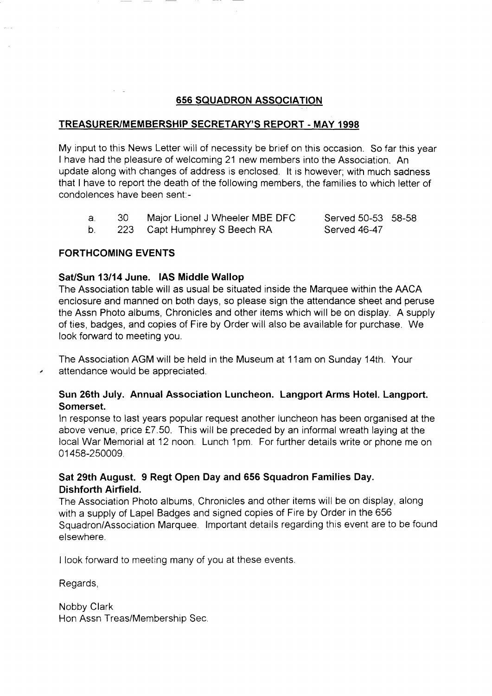# 656 SQUADRON ASSOCIATION

## TREASURER/MEMBERSHIP SECRETARY'S REPORT - MAY 1998

My input to this News Letter will of necessity be brief on this occasion. So far this year I have had the pleasure of welcoming 21 new members into the Association. An update along with changes of address is enclosed. lt is however, with much sadness that I have to report the death of the following members, the families to which letter of condolences have been sent:-

| - 30 - | Major Lionel J Wheeler MBE DFC | Served 50-53 58-58 |  |
|--------|--------------------------------|--------------------|--|
|        | 223 Capt Humphrey S Beech RA   | Served 46-47       |  |

223 Capt Humphrey S Beech RA Served 46-47

## FORTHCOMING EVENTS

## Sat/Sun 13/14 June. IAS Middle Wallop

The Association table will as usual be situated inside the Marquee within the AACA enclosure and manned on both days, so please sign the attendance sheet and peruse the Assn Photo albums, Chronicles and other items which will be on display. A supply of ties, badges, and copies of Fire by Order will also be available for purchase. We look fonvard to meeting you.

The Association AGM will be held in the Museum at 1 1am on Sunday 14th. Your attendance would be appreciated.

# Sun 26th July. Annual Association Luncheon. Langport Arms Hotel. Langport. Somerset.

ln response to last years popular request another luncheon has been organised at the above venue, price £7.50. This will be preceded by an informal wreath laying at the local War Memorial at 12 noon. Lunch 1pm. For further details write or phone me on 01458-250009.

# Sat 29th August. 9 Regt Open Day and 656 Squadron Families Day. Dishforth Airfield.

The Association Photo albums, Chronicles and other items will be on display, along with a supply of Lapel Badges and signed copies of Fire by Order in the 656 Squadron/Association Marquee. lmportant details regarding this event are to be found elsewhere.

I look forward to meeting many of you at these events.

Regards,

Nobby Clark Hon Assn Treas/Membership Sec.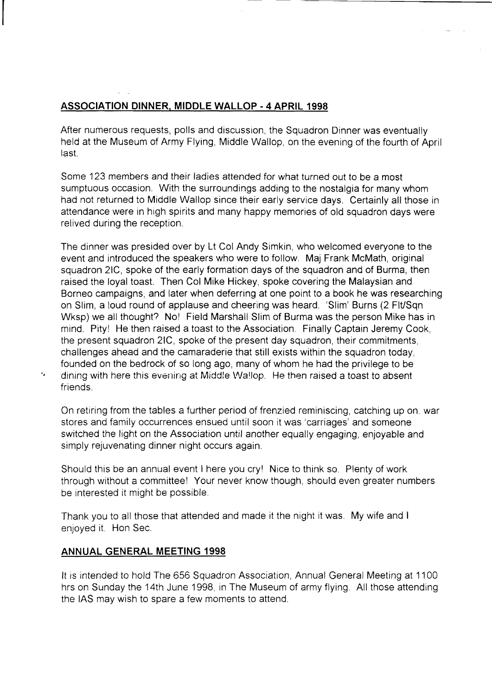# ASSOCIATION DINNER. MIDDLE WALLOP .4 APRIL <sup>1998</sup>

After numerous requests, polls and discussion, the Squadron Dinner was eventually held at the Museum of Army Flying, Middle Wallop, on the evening of the fourth of April last.

Some 123 members and their ladies attended for what turned out to be a most sumptuous occasion. With the surroundings adding to the nostalgia for many whom had not returned to Middle Wallop since their early service days. Certainly all those in attendance were in high spirits and many happy memories of old squadron days were relived during the reception.

The dinner was presided over by Lt Col Andy Simkin, who welcomed everyone to the event and introduced the speakers who were to follow. Maj Frank McMath, original squadron 2lC, spoke of the early formation days of the squadron and of Burma, then raised the loyal toast. Then Col Mike Hickey, spoke covering the Malaysian and Borneo campaigns, and later when deferring at one point to a book he was researching on Slim, a loud round of applause and cheering was heard. 'Slim' Burns (2 FlUSqn Wksp) we all thought? No! Field Marshall Slim of Burma was the person Mike has in mind. Pityl He then raised a toast to the Association. Finally Captain Jeremy Cook, the present squadron 2lC, spoke of the present day squadron, their commitments, challenges ahead and the camaraderie that still exists within the squadron today, founded on the bedrock of so long ago, many of whom he had the privilege to be dining with here this evening at Middle Wallop. He then raised a toast to absent friends

On retiring from the tables a further period of frenzied reminiscing, catching up on. war stores and family occurrences ensued until soon it was 'carriages' and someone switched the light on the Association until another equally engaging, enjoyable and simply rejuvenating dinner night occurs again.

Should this be an annual event I here you cry! Nice to think so. Plenty of work through without a committee! Your never know though, should even greater numbers be interested it might be possible

Thank you to all those that attended and made it the night it was. My wife and <sup>I</sup> enjoyed it. Hon Sec.

## ANNUAL GENERAL MEETING 1998

k,

It is intended to hold The 656 Squadron Association, Annual General Meeting at 1 100 hrs on Sunday the 14th June 1998, in The Museum of army flying. All those attending the IAS may wish to spare a few moments to attend.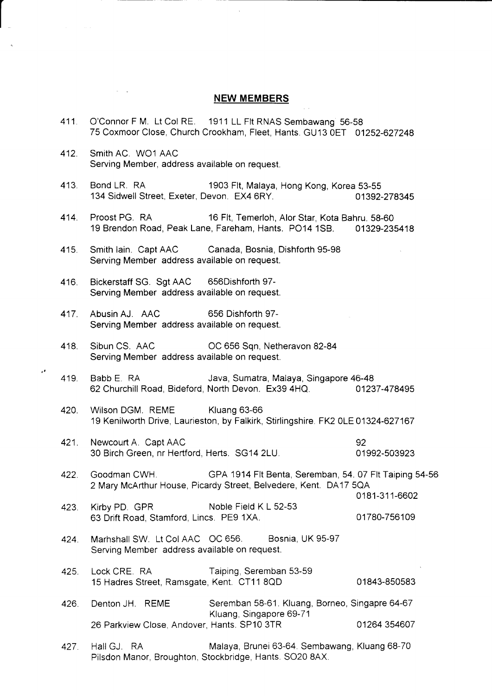#### NEW MEMBERS

- 411. O'Connor F M. Lt Col RE. 1911 LL Flt RNAS Sembawang 56-58 75 Coxmoor Close, Church Crookham, Fleet, Hants. GU13 OET 01252-627248
- 412. Smith AC. WOI AAC Serving Member, address available on request.

 $\mathbf{r}$ 

- 413. Bond LR. RA 1903 Flt, Malaya, Hong Kong, Korea 53-55<br>134 Sidwell Street, Exeter, Devon. EX4 6RY. 134 O1392-278345 134 Sidwell Street, Exeter, Devon. EX4 6RY.
- 414. Proost PG. RA 16 Flt, Temerloh, Alor Star, Kota Bahru. 58-60 19 Brendon Road, Peak Lane, Fareham, Hants. PO14 1SB. 01329-235418
- 415. Smith lain. Capt AAC Canada, Bosnia, Dishforth 95-98 Serving Member address available on request.
- 416. Bickerstaff SG. Sgt AAC 656Dishforth 97- Serving Member address available on request.
- 417. Abusin AJ. AAC <sup>656</sup>Dishforth 97- Serving Member address available on request.
- 418. Sibun CS. AAC OC 656 Sqn, Netheravon 82-84 Serving Member address available on request.
- 419. Babb E. RA Java, Sumatra, Maiaya, Singapore 46-48 <sup>62</sup>Churchill Road, Bideford, North Devon. Ex39 4HQ. 01237-478495
- 420. Wilson DGM. REME Kluang 63-66 19 Kenilworth Drive, Laurieston, by Falkirk, Stirlingshire.FK2 OLE01324-627167
- 421. Newcourt A. Capt AAC 92 <sup>30</sup>Birch Green, nr Hertford, Herts. SG14 2LU. 01992-503923
- 422. Goodman CWH. GPA 1914 Flt Benta, Seremban, 54. 07 Flt Taiping 54-56 2Mary McArthur House, Picardy Street, Belvedere, Kent. DA17 sQA 0181-311-6602
- 423. Kirby PD. GPR Noble Field K L 52-53 <sup>63</sup>Drift Road. Stamford, Lincs. PEg 1XA. 01780-756109
- 424. Marhshall SW. Lt CoIAAC OC 656. Bosnia, UK 95-97 Serving Member address available on request.
- 425. Lock CRE. RA Taiping, Seremban 53-59 15 Hadres Street, Ramsgate, Kent. CT11 8QD 01843-850583

426. Denton JH. REME Seremban 58-61. Kluang, Borneo, Singapre 64-67 Kluang, Singapore 69-7 <sup>1</sup> 26 Parkview Close, Andover, Hants. SP10 3TR 01264 354607

427. Hall GJ. RA Malaya, Brunei 63-64. Sembawang, Kluang 68-70 Pilsdon Manor, Broughton, Stockbridge, Hants. SO20 8AX.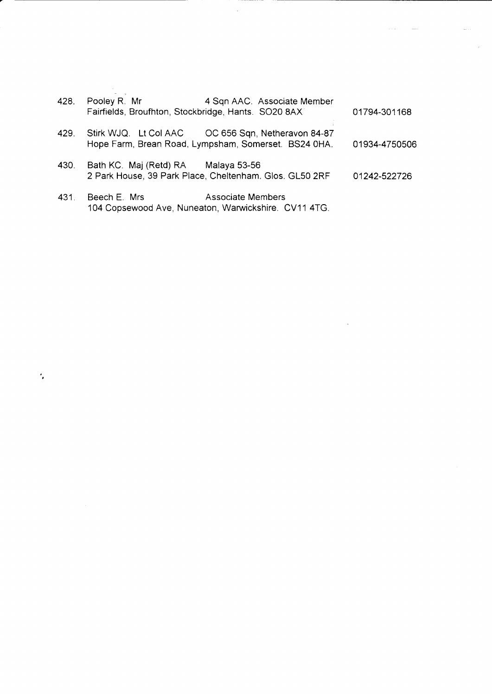| 428. | Pooley R. Mr           | 4 Sqn AAC. Associate Member<br>Fairfields, Broufhton, Stockbridge, Hants. SO20 8AX                         | 01794-301168  |
|------|------------------------|------------------------------------------------------------------------------------------------------------|---------------|
| 429. |                        | Stirk WJQ. Lt Col AAC OC 656 Sqn, Netheravon 84-87<br>Hope Farm, Brean Road, Lympsham, Somerset. BS24 0HA. | 01934-4750506 |
| 430. | Bath KC. Maj (Retd) RA | Malaya 53-56<br>2 Park House, 39 Park Place, Cheltenham. Glos. GL50 2RF                                    | 01242-522726  |
| 431. | Beech E. Mrs           | <b>Associate Members</b>                                                                                   |               |

 $\lambda$ 

 $\sim$   $\sim$   $\sim$ 

 $\ddot{\phantom{a}}$ 

 $\lambda$ 

104 Copsewood Ave, Nuneaton, Warwickshire. CV11 4TG.

 $\hat{\mathcal{C}}$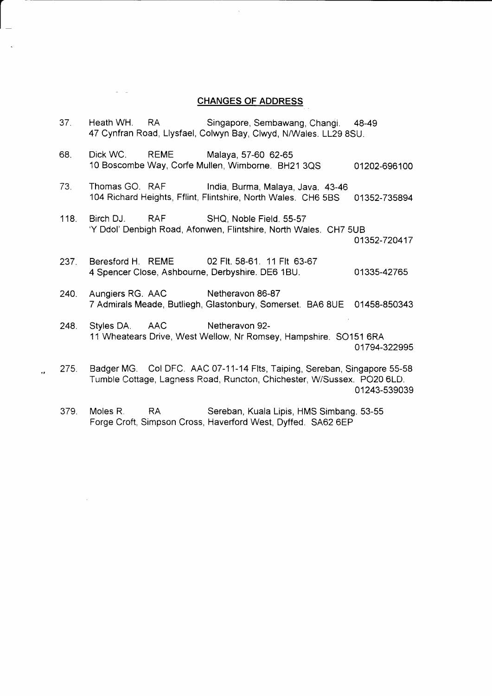#### CHANGES OF ADDRESS

37. Heath WH. RA Singapore, Sembawang, Changi. 48-49 47 Cynfran Road, Llysfael, Colwyn Bay, Clwyd, N/Wales. LL29 8SU.

 $\vert$ 

- 68. Dick WC. REME Malaya, 57-60 62-65 10 Boscombe Way, Corfe Mullen, Wimborne. BH21 3QS 01202-696100
- 73. Thomas GO. RAF India, Burma, Malaya, Java. 43-46 104 Richard Heights, Fflint, Flintshire, North Wales. CHO 5BS 01352-735894
- 118. Birch DJ. RAF SHQ, Noble Field. 55-57 'Y Ddol' Denbigh Road, Afonwen, Flintshire, North Wales. CH7 5UB

01352-720417

- 237. Beresford H. REME 02 Flt. 58-61. 11 Flt 63-67 <sup>4</sup>Spencer Close, Ashbourne, Derbyshire. DE6 1BU. 01335-42765
- 240. Aungiers RG. AAC Netheravon 86-87 <sup>7</sup>Admirals Meade, Butliegh, Glastonbury, Somerset. BAO 8UE 01458-850343
- 248. Styles DA. AAC Netheravon 92-11 Wheatears Drive, West Wellow, Nr Romsey, Hampshire. SO151 6RA 01794-322995
- 275. Badger MG. Col DFC. AAC 07-11-14 Flts, Taiping, Sereban, Singapore 55-58 Tumble Cottage, Lagness Road, Runcton, Chichester, W/Sussex. PO20 6LD. 01243-539039
	- 379. Moles R. RA Sereban, Kuala Lipis, HMS Simbang. 53-55 Forge Croft, Simpson Cross, Haverford West, Dyffed. 5462 6EP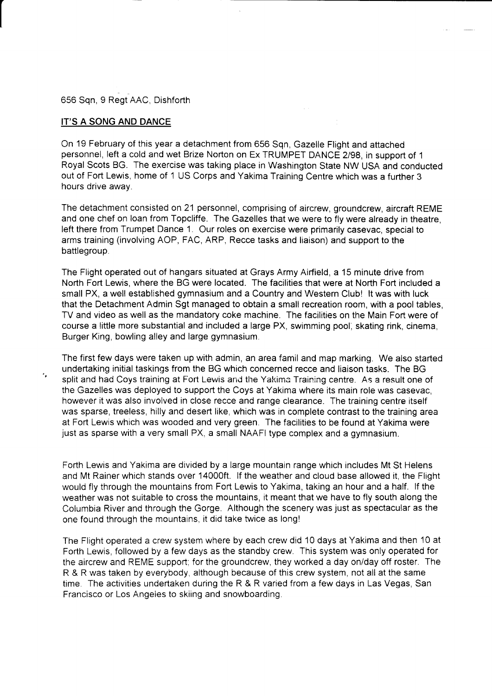656 Sqn, 9 Regt AAC, Dishforth

### IT'S A SONG AND DANCE

×.

On 19 February of this year a detachment from 656 Sqn, Gazelle Flight and attached personnel, left a cold and wet Brize Norton on Ex TRUMPET DANCE 2/98, in support of 1 Royal Scots BG. The exercise was taking place in Washington State NW USA and conducted out of Fort Lewis, home of 1 US Corps and Yakima Training Centre which was a further 3 hours drive away.

 $\frac{1}{2}$ 

The detachment consisted on 21 personnel, comprising of aircrew, groundcrew, aircraft REME and one chef on loan from Topcliffe. The Gazelles that we were to fly were already in theatre, left there from Trumpet Dance 1. Our roles on exercise were primarily casevac, special to arms training (involving AOP, FAC, ARP, Recce tasks and liaison) and support to the battlegroup.

The Flight operated out of hangars situated at Grays Army Airfield, a 15 minute drive from North Fort Lewis, where the BG were located. The facilities that were at North Fort included a small PX, a well established gymnasium and a Country and Western Club! It was with luck that the Detachment Admin Sgt managed to obtain a small recreation room, with a pool tables, TV and video as well as the mandatory coke machine. The facilities on the Main Fort were of course a little more substantial and included a large PX, swimming pool, skating rink, cinema, Burger King, bowling alley and large gymnasium.

The first few days were taken up with admin, an area famil and map marking. We also started undertaking initial taskings from the BG which concerned recce and liaison tasks. The BG split and had Coys training at Fort Levvis and the Yakima Training centre. As a result one of the Gazelles was deployed to support the Coys at Yakima where its main role was casevac, however it was also involved in close recce and range clearance. The training centre itself was sparse, treeless, hilly and desert like, which was in complete contrast to the training area at Fort Lewis which was wooded and very green. The facilities to be found at Yakima were just as sparse with a very small PX, a small NAAFI type complex and a gymnasium.

Forth Lewis and Yakima are divided by a large mountain range which includes Mt St Helens and Mt Rainer which stands over 14000ft. If the weather and cloud base allowed it, the Flight would fly through the mountains from Fort Lewis to Yakima, taking an hour and a half. lf the weather was not suitable to cross the mountains, it meant that we have to fly south along the Columbia River and through the Gorge. Although the scenery was just as spectacular as the one found through the mountains, it did take twice as long!

The Flight operated a crew system where by each crew did 10 days at Yakima and then 10 at Forth Lewis, followed by a few days as the standby crew. This system was only operated for the aircrew and REME support; for the groundcrew, they worked a day on/day off roster. The R & R was taken by everybody, although because of this crew system, not all at the same time. The activities undertaken during the R & R varied from a few days in Las Vegas, San Francisco or Los Angeles to skiing and snowboarding.